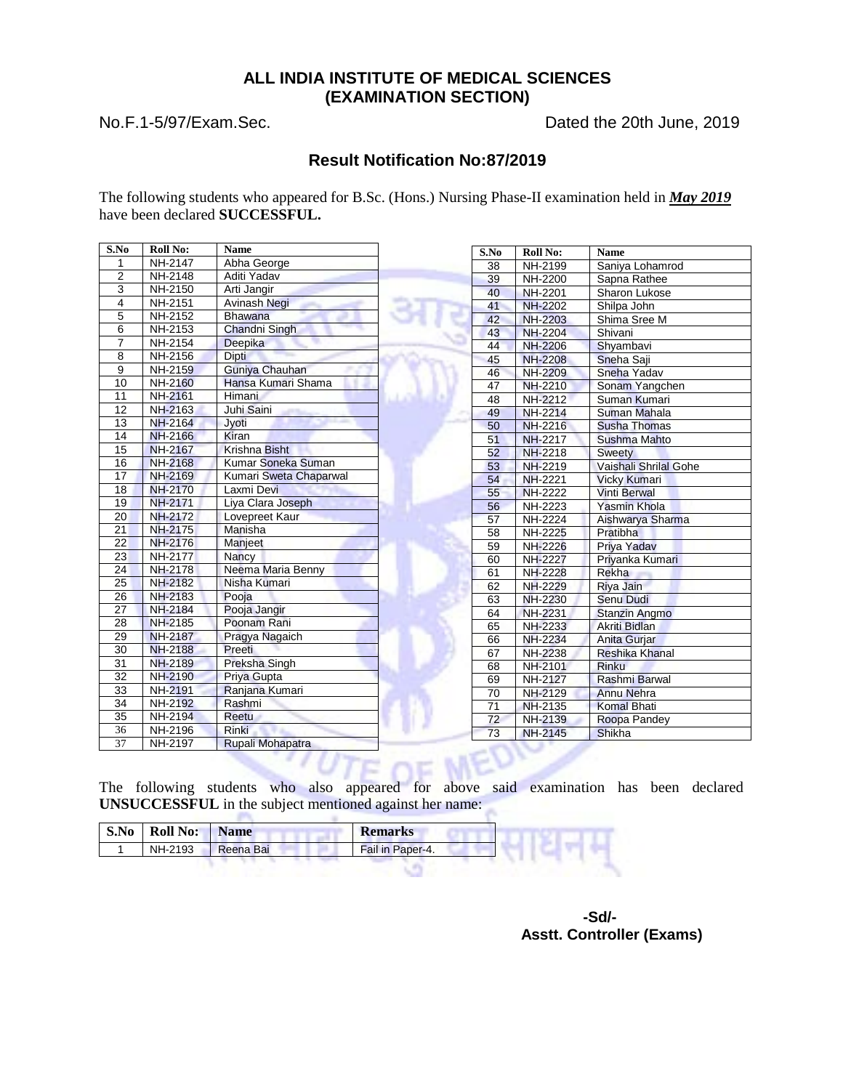### **ALL INDIA INSTITUTE OF MEDICAL SCIENCES (EXAMINATION SECTION)**

No.F.1-5/97/Exam.Sec. Dated the 20th June, 2019

#### **Result Notification No:87/2019**

The following students who appeared for B.Sc. (Hons.) Nursing Phase-II examination held in *May 2019* have been declared **SUCCESSFUL.**

| S.No            | <b>Roll No:</b>       | <b>Name</b>            | S.No            | <b>Roll No:</b> | Name                  |
|-----------------|-----------------------|------------------------|-----------------|-----------------|-----------------------|
| 1               | <b>NH-2147</b>        | Abha George            | 38              | NH-2199         | Saniya Lohamrod       |
| 2               | NH-2148               | Aditi Yadav            | $\overline{39}$ | NH-2200         | Sapna Rathee          |
| 3               | $\overline{NH}$ -2150 | Arti Jangir            | 40              | <b>NH-2201</b>  | Sharon Lukose         |
| 4               | NH-2151               | <b>Avinash Negi</b>    | 41              | <b>NH-2202</b>  | Shilpa John           |
| 5               | NH-2152               | <b>Bhawana</b>         | 42              | <b>NH-2203</b>  | Shima Sree M          |
| 6               | NH-2153               | Chandni Singh          | 43              | <b>NH-2204</b>  | Shivani               |
| $\overline{7}$  | NH-2154               | <b>Deepika</b>         | 44              | <b>NH-2206</b>  | Shyambavi             |
| 8               | NH-2156               | Dipti                  | 45              | <b>NH-2208</b>  | Sneha Saji            |
| 9               | NH-2159               | Guniya Chauhan         | 46              | <b>NH-2209</b>  | Sneha Yadav           |
| 10              | NH-2160               | Hansa Kumari Shama     | 47              | <b>NH-2210</b>  | Sonam Yangchen        |
| 11              | NH-2161               | <b>Himani</b>          | $\overline{48}$ | NH-2212         | Suman Kumari          |
| 12              | NH-2163               | Juhi Saini             | 49              | <b>NH-2214</b>  | Suman Mahala          |
| 13              | <b>NH-2164</b>        | Jyoti                  | 50              | <b>NH-2216</b>  | <b>Susha Thomas</b>   |
| 14              | NH-2166               | Kiran                  | 51              | <b>NH-2217</b>  | <b>Sushma Mahto</b>   |
| 15              | <b>NH-2167</b>        | Krishna Bisht          | 52              | <b>NH-2218</b>  | <b>Sweety</b>         |
| 16              | <b>NH-2168</b>        | Kumar Soneka Suman     | 53              | <b>NH-2219</b>  | Vaishali Shrilal Gohe |
| 17              | NH-2169               | Kumari Sweta Chaparwal | 54              | <b>NH-2221</b>  | <b>Vicky Kumari</b>   |
| 18              | <b>NH-2170</b>        | Laxmi Devi             | 55              | <b>NH-2222</b>  | <b>Vinti Berwal</b>   |
| 19              | NH-2171               | Liya Clara Joseph      | 56              | NH-2223         | <b>Yasmin Khola</b>   |
| 20              | <b>NH-2172</b>        | Lovepreet Kaur         | 57              | NH-2224         | Aishwarya Sharma      |
| 21              | <b>NH-2175</b>        | Manisha                | 58              | <b>NH-2225</b>  | Pratibha              |
| 22              | <b>NH-2176</b>        | Manjeet                | 59              | <b>NH-2226</b>  | Priya Yadav           |
| 23              | <b>NH-2177</b>        | Nancy                  | 60              | <b>NH-2227</b>  | Priyanka Kumari       |
| 24              | <b>NH-2178</b>        | Neema Maria Benny      | 61              | <b>NH-2228</b>  | Rekha                 |
| 25              | <b>NH-2182</b>        | Nisha Kumari           | 62              | <b>NH-2229</b>  | Riya Jain             |
| $\overline{26}$ | <b>NH-2183</b>        | Pooja                  | 63              | <b>NH-2230</b>  | <b>Senu Dudi</b>      |
| $\overline{27}$ | <b>NH-2184</b>        | Pooja Jangir           | 64              | <b>NH-2231</b>  | <b>Stanzin Angmo</b>  |
| 28              | <b>NH-2185</b>        | Poonam Rani            | 65              | <b>NH-2233</b>  | Akriti Bidlan         |
| 29              | <b>NH-2187</b>        | Pragya Nagaich         | 66              | <b>NH-2234</b>  | Anita Gurjar          |
| 30              | <b>NH-2188</b>        | Preeti                 | 67              | <b>NH-2238</b>  | <b>Reshika Khanal</b> |
| $\overline{31}$ | <b>NH-2189</b>        | Preksha Singh          | 68              | NH-2101         | <b>Rinku</b>          |
| 32              | <b>NH-2190</b>        | Priya Gupta            | 69              | NH-2127         | Rashmi Barwal         |
| 33              | <b>NH-2191</b>        | Ranjana Kumari         | 70              | NH-2129         | <b>Annu Nehra</b>     |
| $\overline{34}$ | NH-2192               | Rashmi                 | 71              | <b>NH-2135</b>  | <b>Komal Bhati</b>    |
| 35              | NH-2194               | Reetu                  | $\overline{72}$ | NH-2139         | Roopa Pandey          |
| 36              | NH-2196               | Rinki<br>6. V a.       | 73              | <b>NH-2145</b>  | Shikha                |
| $\overline{37}$ | NH-2197               | Rupali Mohapatra       |                 |                 |                       |

The following students who also appeared for above said examination has been declared **UNSUCCESSFUL** in the subject mentioned against her name:

| S.No | <b>Roll No:</b> | <b>Name</b> | <b>Remarks</b>   |
|------|-----------------|-------------|------------------|
|      | NH-2193         | Reena Bai   | Fail in Paper-4. |
|      |                 |             |                  |

 **-Sd/- Asstt. Controller (Exams)**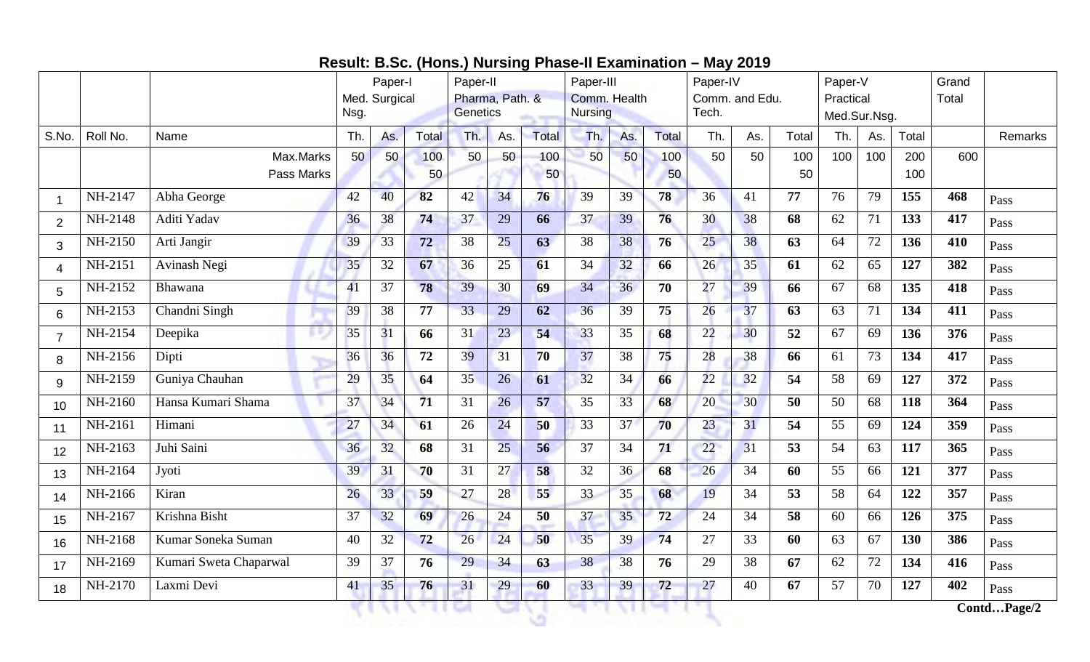|  | Result: B.Sc. (Hons.) Nursing Phase-II Examination - May 2019 |  |
|--|---------------------------------------------------------------|--|
|--|---------------------------------------------------------------|--|

|                |          |                        |      | Paper-I<br>Med. Surgical |              | Paper-II<br>Pharma, Path. & |                 |       | Paper-III<br>Comm. Health |     |              | Paper-IV<br>Comm. and Edu. |     |       | Paper-V<br>Practical |     |       | Grand<br>Total |             |
|----------------|----------|------------------------|------|--------------------------|--------------|-----------------------------|-----------------|-------|---------------------------|-----|--------------|----------------------------|-----|-------|----------------------|-----|-------|----------------|-------------|
|                |          |                        | Nsg. |                          |              | <b>Genetics</b>             |                 |       | <b>Nursing</b>            |     |              | Tech.                      |     |       | Med.Sur.Nsg.         |     |       |                |             |
| S.No.          | Roll No. | Name                   | Th.  | As.                      | <b>Total</b> | Th.                         | As.             | Total | Th.                       | As. | <b>Total</b> | Th.                        | As. | Total | Th.                  | As. | Total |                | Remarks     |
|                |          | Max.Marks              | 50   | 50                       | 100          | 50                          | 50              | 100   | 50                        | 50  | 100          | 50                         | 50  | 100   | 100                  | 100 | 200   | 600            |             |
|                |          | Pass Marks             |      |                          | 50           |                             |                 | 50    |                           |     | 50           |                            |     | 50    |                      |     | 100   |                |             |
| -1             | NH-2147  | Abha George            | 42   | 40                       | 82           | 42                          | 34              | 76    | 39                        | 39  | 78           | 36                         | 41  | 77    | 76                   | 79  | 155   | 468            | Pass        |
| $\overline{2}$ | NH-2148  | Aditi Yadav            | 36   | 38                       | 74           | 37                          | 29              | 66    | 37                        | 39  | 76           | 30                         | 38  | 68    | 62                   | 71  | 133   | 417            | Pass        |
| 3              | NH-2150  | Arti Jangir            | 39   | 33                       | 72           | 38                          | $\overline{25}$ | 63    | 38                        | 38  | 76           | 25                         | 38  | 63    | 64                   | 72  | 136   | 410            | Pass        |
| $\overline{4}$ | NH-2151  | Avinash Negi           | 35   | 32                       | 67           | 36                          | 25              | 61    | 34                        | 32  | 66           | 26                         | 35  | 61    | 62                   | 65  | 127   | 382            | Pass        |
| 5              | NH-2152  | Bhawana                | 41   | 37                       | 78           | 39                          | 30              | 69    | 34                        | 36  | 70           | 27                         | 39  | 66    | 67                   | 68  | 135   | 418            | Pass        |
| 6              | NH-2153  | Chandni Singh          | 39   | 38                       | 77           | 33                          | 29              | 62    | 36                        | 39  | 75           | 26                         | 37  | 63    | 63                   | 71  | 134   | 411            | Pass        |
| $\overline{7}$ | NH-2154  | Deepika                | 35   | 31                       | 66           | 31                          | 23              | 54    | 33                        | 35  | 68           | 22                         | 30  | 52    | 67                   | 69  | 136   | 376            | Pass        |
| 8              | NH-2156  | Dipti                  | 36   | 36                       | 72           | 39                          | 31              | 70    | 37                        | 38  | 75           | 28                         | 38  | 66    | 61                   | 73  | 134   | 417            | Pass        |
| 9              | NH-2159  | Guniya Chauhan         | 29   | 35                       | 64           | 35                          | 26              | 61    | 32                        | 34  | 66           | 22                         | 32  | 54    | 58                   | 69  | 127   | 372            | Pass        |
| 10             | NH-2160  | Hansa Kumari Shama     | 37   | 34                       | 71           | 31                          | 26              | 57    | 35                        | 33  | 68           | 20                         | 30  | 50    | 50                   | 68  | 118   | 364            | Pass        |
| 11             | NH-2161  | Himani                 | 27   | 34                       | 61           | 26                          | 24              | 50    | 33                        | 37  | 70           | 23                         | 31  | 54    | 55                   | 69  | 124   | 359            | Pass        |
| 12             | NH-2163  | Juhi Saini             | 36   | 32                       | 68           | 31                          | 25              | 56    | 37                        | 34  | 71           | 22                         | 31  | 53    | 54                   | 63  | 117   | 365            | Pass        |
| 13             | NH-2164  | Jyoti                  | 39   | 31                       | 70           | 31                          | 27              | 58    | 32                        | 36  | 68           | 26                         | 34  | 60    | 55                   | 66  | 121   | 377            | Pass        |
| 14             | NH-2166  | Kiran                  | 26   | 33                       | 59           | 27                          | 28              | 55    | 33                        | 35  | 68           | 19                         | 34  | 53    | 58                   | 64  | 122   | 357            | Pass        |
| 15             | NH-2167  | Krishna Bisht          | 37   | 32                       | 69           | 26                          | $\overline{24}$ | 50    | 37                        | 35  | 72           | 24                         | 34  | 58    | 60                   | 66  | 126   | 375            | Pass        |
| 16             | NH-2168  | Kumar Soneka Suman     | 40   | 32                       | 72           | 26                          | 24              | 50    | 35                        | 39  | 74           | 27                         | 33  | 60    | 63                   | 67  | 130   | 386            | Pass        |
| 17             | NH-2169  | Kumari Sweta Chaparwal | 39   | 37                       | 76           | 29                          | 34              | 63    | 38                        | 38  | 76           | 29                         | 38  | 67    | 62                   | 72  | 134   | 416            | Pass        |
| 18             | NH-2170  | Laxmi Devi             | 41   | 35                       | 76           | 31                          | 29              | 60    | 33                        | 39  | 72           | 27                         | 40  | 67    | 57                   | 70  | 127   | 402            | Pass        |
|                |          |                        |      |                          |              |                             |                 |       |                           |     |              |                            |     |       |                      |     |       |                | ContdPage/2 |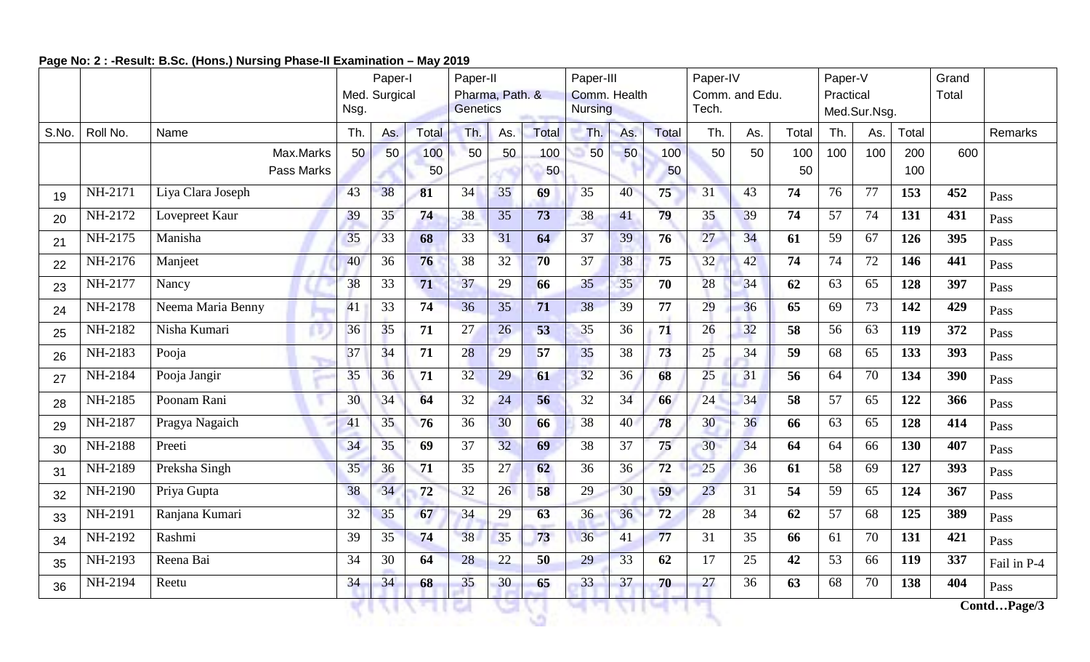# **Page No: 2 : -Result: B.Sc. (Hons.) Nursing Phase-II Examination – May 2019**

|       |          |                   |      | Paper-I         |       | Paper-II<br>Pharma, Path. & |     |       | Paper-III<br>Comm. Health |     |       | Paper-IV                |     | Paper-V |           |                 | Grand |       |                      |
|-------|----------|-------------------|------|-----------------|-------|-----------------------------|-----|-------|---------------------------|-----|-------|-------------------------|-----|---------|-----------|-----------------|-------|-------|----------------------|
|       |          |                   | Nsg. | Med. Surgical   |       | <b>Genetics</b>             |     |       | <b>Nursing</b>            |     |       | Comm. and Edu.<br>Tech. |     |         | Practical | Med.Sur.Nsg.    |       | Total |                      |
| S.No. | Roll No. | Name              | Th.  | As.             | Total | Th.                         | As. | Total | Th.                       | As. | Total | Th.                     | As. | Total   | Th.       | As.             | Total |       | <b>Remarks</b>       |
|       |          | Max.Marks         | 50   | 50              | 100   | 50                          | 50  | 100   | 50                        | 50  | 100   | 50                      | 50  | 100     | 100       | 100             | 200   | 600   |                      |
|       |          | Pass Marks        |      |                 | 50    |                             |     | 50    |                           |     | 50    |                         |     | 50      |           |                 | 100   |       |                      |
| 19    | NH-2171  | Liya Clara Joseph | 43   | 38              | 81    | 34                          | 35  | 69    | 35                        | 40  | 75    | 31                      | 43  | 74      | 76        | 77              | 153   | 452   | Pass                 |
| 20    | NH-2172  | Lovepreet Kaur    | 39   | 35              | 74    | 38                          | 35  | 73    | 38                        | 41  | 79    | 35                      | 39  | 74      | 57        | 74              | 131   | 431   | Pass                 |
| 21    | NH-2175  | Manisha           | 35   | 33              | 68    | 33                          | 31  | 64    | 37                        | 39  | 76    | 27                      | 34  | 61      | 59        | 67              | 126   | 395   | Pass                 |
| 22    | NH-2176  | Manjeet           | 40   | 36              | 76    | 38                          | 32  | 70    | 37                        | 38  | 75    | 32                      | 42  | 74      | 74        | 72              | 146   | 441   | Pass                 |
| 23    | NH-2177  | Nancy             | 38   | 33              | 71    | 37                          | 29  | 66    | 35                        | 35  | 70    | 28                      | 34  | 62      | 63        | 65              | 128   | 397   | Pass                 |
| 24    | NH-2178  | Neema Maria Benny | 41   | $\overline{33}$ | 74    | 36                          | 35  | 71    | 38                        | 39  | 77    | 29                      | 36  | 65      | 69        | $\overline{73}$ | 142   | 429   | Pass                 |
| 25    | NH-2182  | Nisha Kumari      | 36   | 35              | 71    | 27                          | 26  | 53    | 35                        | 36  | 71    | 26                      | 32  | 58      | 56        | 63              | 119   | 372   | Pass                 |
| 26    | NH-2183  | Pooja             | 37   | 34              | 71    | 28                          | 29  | 57    | 35                        | 38  | 73    | 25                      | 34  | 59      | 68        | 65              | 133   | 393   | Pass                 |
| 27    | NH-2184  | Pooja Jangir      | 35   | 36              | 71    | 32                          | 29  | 61    | 32                        | 36  | 68    | 25                      | 31  | 56      | 64        | 70              | 134   | 390   | Pass                 |
| 28    | NH-2185  | Poonam Rani       | 30   | 34              | 64    | 32                          | 24  | 56    | 32                        | 34  | 66    | 24                      | 34  | 58      | 57        | 65              | 122   | 366   | Pass                 |
| 29    | NH-2187  | Pragya Nagaich    | 41   | 35              | 76    | 36                          | 30  | 66    | 38                        | 40  | 78    | 30                      | 36  | 66      | 63        | 65              | 128   | 414   | Pass                 |
| 30    | NH-2188  | Preeti            | 34   | 35              | 69    | 37                          | 32  | 69    | 38                        | 37  | 75    | 30                      | 34  | 64      | 64        | 66              | 130   | 407   | Pass                 |
| 31    | NH-2189  | Preksha Singh     | 35   | 36              | 71    | 35                          | 27  | 62    | 36                        | 36  | 72    | 25                      | 36  | 61      | 58        | 69              | 127   | 393   | Pass                 |
| 32    | NH-2190  | Priya Gupta       | 38   | 34              | 72    | 32                          | 26  | 58    | 29                        | 30  | 59    | 23                      | 31  | 54      | 59        | 65              | 124   | 367   | Pass                 |
| 33    | NH-2191  | Ranjana Kumari    | 32   | 35              | 67    | 34                          | 29  | 63    | 36                        | 36  | 72    | 28                      | 34  | 62      | 57        | 68              | 125   | 389   | Pass                 |
| 34    | NH-2192  | Rashmi            | 39   | 35              | 74    | 38                          | 35  | 73    | 36                        | 41  | 77    | 31                      | 35  | 66      | 61        | 70              | 131   | 421   | Pass                 |
| 35    | NH-2193  | Reena Bai         | 34   | 30              | 64    | 28                          | 22  | 50    | 29                        | 33  | 62    | 17                      | 25  | 42      | 53        | 66              | 119   | 337   | Fail in P-4          |
| 36    | NH-2194  | Reetu             | 34   | 34              | 68    | 35                          | 30  | 65    | 33                        | 37  | 70    | 27                      | 36  | 63      | 68        | 70              | 138   | 404   | Pass                 |
|       |          |                   |      |                 |       |                             |     |       |                           |     |       |                         |     |         |           |                 |       |       | ContdPage $\sqrt{3}$ |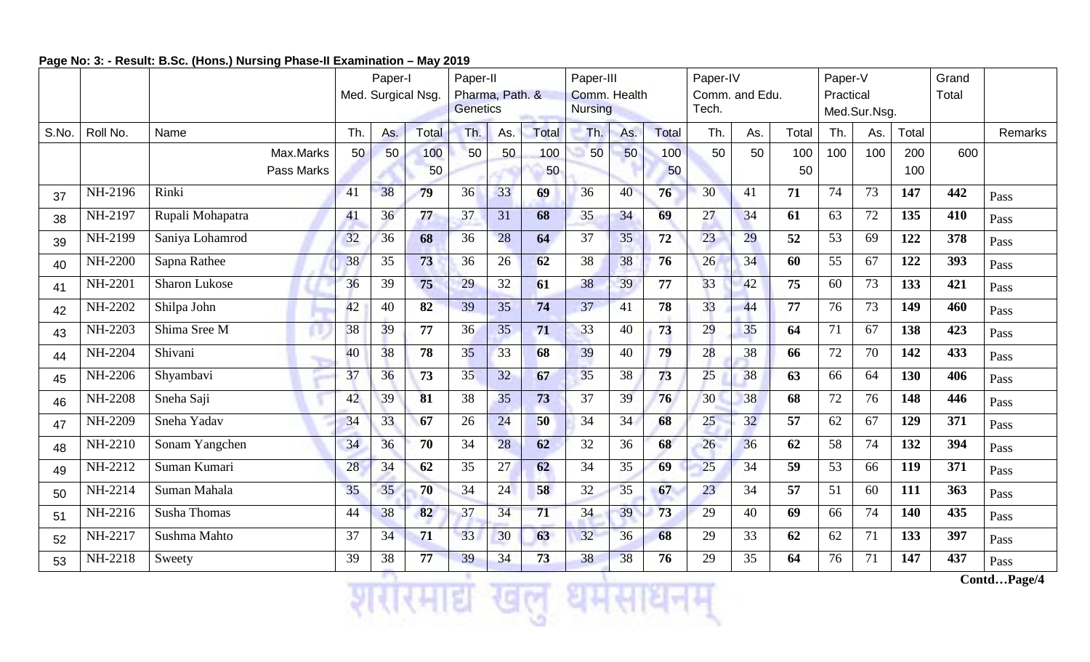### **Page No: 3: - Result: B.Sc. (Hons.) Nursing Phase-II Examination – May 2019**

|       |                |                      |            |     | Paper-I |                    | Paper-II                           |     |       | Paper-III                      |     |       | Paper-IV                |     |       | Paper-V                   |     |       | Grand |         |
|-------|----------------|----------------------|------------|-----|---------|--------------------|------------------------------------|-----|-------|--------------------------------|-----|-------|-------------------------|-----|-------|---------------------------|-----|-------|-------|---------|
|       |                |                      |            |     |         | Med. Surgical Nsg. | Pharma, Path. &<br><b>Genetics</b> |     |       | Comm. Health<br><b>Nursing</b> |     |       | Comm. and Edu.<br>Tech. |     |       | Practical<br>Med.Sur.Nsg. |     |       | Total |         |
|       |                |                      |            |     |         |                    |                                    |     |       |                                |     |       |                         |     |       |                           |     |       |       |         |
| S.No. | Roll No.       | Name                 |            | Th. | As.     | <b>Total</b>       | Th.                                | As. | Total | Th.                            | As. | Total | Th.                     | As. | Total | Th.                       | As. | Total |       | Remarks |
|       |                |                      | Max.Marks  | 50  | 50      | 100                | 50                                 | 50  | 100   | 50                             | 50  | 100   | 50                      | 50  | 100   | 100                       | 100 | 200   | 600   |         |
|       |                |                      | Pass Marks |     |         | 50                 |                                    |     | 50    |                                |     | 50    |                         |     | 50    |                           |     | 100   |       |         |
| 37    | NH-2196        | Rinki                |            | 41  | 38      | 79                 | 36                                 | 33  | 69    | 36                             | 40  | 76    | 30                      | 41  | 71    | 74                        | 73  | 147   | 442   | Pass    |
| 38    | NH-2197        | Rupali Mohapatra     |            | 41  | 36      | 77                 | 37                                 | 31  | 68    | 35                             | 34  | 69    | 27                      | 34  | 61    | 63                        | 72  | 135   | 410   | Pass    |
| 39    | NH-2199        | Saniya Lohamrod      |            | 32  | 36      | 68                 | 36                                 | 28  | 64    | 37                             | 35  | 72    | 23                      | 29  | 52    | 53                        | 69  | 122   | 378   | Pass    |
| 40    | NH-2200        | Sapna Rathee         |            | 38  | 35      | 73                 | 36                                 | 26  | 62    | 38                             | 38  | 76    | 26                      | 34  | 60    | 55                        | 67  | 122   | 393   | Pass    |
| 41    | NH-2201        | <b>Sharon Lukose</b> |            | 36  | 39      | 75                 | 29                                 | 32  | 61    | 38                             | 39  | 77    | 33                      | 42  | 75    | 60                        | 73  | 133   | 421   | Pass    |
| 42    | NH-2202        | Shilpa John          |            | 42  | 40      | 82                 | 39                                 | 35  | 74    | 37                             | 41  | 78    | 33                      | 44  | 77    | 76                        | 73  | 149   | 460   | Pass    |
| 43    | NH-2203        | Shima Sree M         |            | 38  | 39      | 77                 | 36                                 | 35  | 71    | 33                             | 40  | 73    | 29                      | 35  | 64    | 71                        | 67  | 138   | 423   | Pass    |
| 44    | NH-2204        | Shivani              |            | 40  | 38      | 78                 | 35                                 | 33  | 68    | 39                             | 40  | 79    | 28                      | 38  | 66    | 72                        | 70  | 142   | 433   | Pass    |
| 45    | NH-2206        | Shyambavi            |            | 37  | 36      | 73                 | 35                                 | 32  | 67    | 35                             | 38  | 73    | 25                      | 38  | 63    | 66                        | 64  | 130   | 406   | Pass    |
| 46    | <b>NH-2208</b> | Sneha Saji           |            | 42  | 39      | 81                 | 38                                 | 35  | 73    | 37                             | 39  | 76    | 30                      | 38  | 68    | 72                        | 76  | 148   | 446   | Pass    |
| 47    | NH-2209        | Sneha Yadav          |            | 34  | 33      | 67                 | 26                                 | 24  | 50    | 34                             | 34  | 68    | 25                      | 32  | 57    | 62                        | 67  | 129   | 371   | Pass    |
| 48    | NH-2210        | Sonam Yangchen       |            | 34  | 36      | 70                 | 34                                 | 28  | 62    | 32                             | 36  | 68    | 26                      | 36  | 62    | 58                        | 74  | 132   | 394   | Pass    |
| 49    | NH-2212        | Suman Kumari         |            | 28  | 34      | 62                 | 35                                 | 27  | 62    | 34                             | 35  | 69    | 25                      | 34  | 59    | 53                        | 66  | 119   | 371   | Pass    |
| 50    | NH-2214        | Suman Mahala         |            | 35  | 35      | 70                 | 34                                 | 24  | 58    | 32                             | 35  | 67    | 23                      | 34  | 57    | 51                        | 60  | 111   | 363   | Pass    |
| 51    | NH-2216        | <b>Susha Thomas</b>  |            | 44  | 38      | 82                 | 37                                 | 34  | 71    | 34                             | 39  | 73    | 29                      | 40  | 69    | 66                        | 74  | 140   | 435   | Pass    |
| 52    | NH-2217        | Sushma Mahto         |            | 37  | 34      | 71                 | 33                                 | 30  | 63    | 32                             | 36  | 68    | 29                      | 33  | 62    | 62                        | 71  | 133   | 397   | Pass    |
| 53    | NH-2218        | Sweety               |            | 39  | 38      | 77                 | 39                                 | 34  | 73    | 38                             | 38  | 76    | 29                      | 35  | 64    | 76                        | 71  | 147   | 437   | Pass    |

 **Contd…Page/4**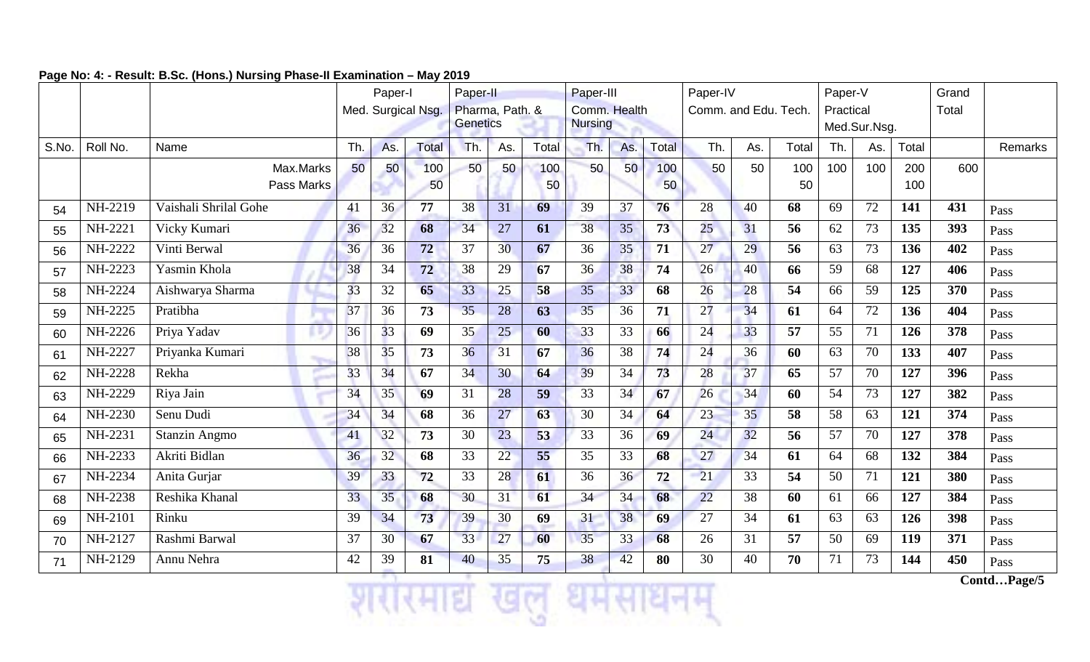|       |          |                       | Paper-II<br>Pharma, Path. &<br><b>Genetics</b> |     |                 | Paper-III<br>Comm. Health<br><b>Nursing</b> |     |     | Paper-IV<br>Comm. and Edu. Tech. | Paper-V<br>Practical | Med.Sur.Nsg. |              | Grand<br>Total |     |       |     |     |       |     |         |
|-------|----------|-----------------------|------------------------------------------------|-----|-----------------|---------------------------------------------|-----|-----|----------------------------------|----------------------|--------------|--------------|----------------|-----|-------|-----|-----|-------|-----|---------|
| S.No. | Roll No. | Name                  |                                                | Th. | As.             | Total                                       | Th. | As. | Total                            | Th.                  | As.          | <b>Total</b> | Th.            | As. | Total | Th. | As. | Total |     | Remarks |
|       |          |                       | Max.Marks                                      | 50  | 50              | 100                                         | 50  | 50  | 100                              | 50                   | 50           | 100          | 50             | 50  | 100   | 100 | 100 | 200   | 600 |         |
|       |          |                       | Pass Marks                                     |     |                 | 50                                          |     |     | 50                               |                      |              | 50           |                |     | 50    |     |     | 100   |     |         |
| 54    | NH-2219  | Vaishali Shrilal Gohe |                                                | 41  | 36              | 77                                          | 38  | 31  | 69                               | 39                   | 37           | 76           | 28             | 40  | 68    | 69  | 72  | 141   | 431 | Pass    |
| 55    | NH-2221  | Vicky Kumari          |                                                | 36  | 32              | 68                                          | 34  | 27  | 61                               | 38                   | 35           | 73           | 25             | 31  | 56    | 62  | 73  | 135   | 393 | Pass    |
| 56    | NH-2222  | Vinti Berwal          |                                                | 36  | 36              | 72                                          | 37  | 30  | 67                               | 36                   | 35           | 71           | 27             | 29  | 56    | 63  | 73  | 136   | 402 | Pass    |
| 57    | NH-2223  | Yasmin Khola          |                                                | 38  | 34              | 72                                          | 38  | 29  | 67                               | 36                   | 38           | 74           | 26             | 40  | 66    | 59  | 68  | 127   | 406 | Pass    |
| 58    | NH-2224  | Aishwarya Sharma      |                                                | 33  | 32              | 65                                          | 33  | 25  | 58                               | 35                   | 33           | 68           | 26             | 28  | 54    | 66  | 59  | 125   | 370 | Pass    |
| 59    | NH-2225  | Pratibha              |                                                | 37  | 36              | 73                                          | 35  | 28  | 63                               | 35                   | 36           | 71           | 27             | 34  | 61    | 64  | 72  | 136   | 404 | Pass    |
| 60    | NH-2226  | Priya Yadav           |                                                | 36  | 33              | 69                                          | 35  | 25  | 60                               | 33                   | 33           | 66           | 24             | 33  | 57    | 55  | 71  | 126   | 378 | Pass    |
| 61    | NH-2227  | Priyanka Kumari       |                                                | 38  | 35              | 73                                          | 36  | 31  | 67                               | 36                   | 38           | 74           | 24             | 36  | 60    | 63  | 70  | 133   | 407 | Pass    |
| 62    | NH-2228  | Rekha                 | ÷                                              | 33  | 34              | 67                                          | 34  | 30  | 64                               | 39                   | 34           | 73           | 28             | 37  | 65    | 57  | 70  | 127   | 396 | Pass    |
| 63    | NH-2229  | Riya Jain             |                                                | 34  | 35              | 69                                          | 31  | 28  | 59                               | 33                   | 34           | 67           | 26             | 34  | 60    | 54  | 73  | 127   | 382 | Pass    |
| 64    | NH-2230  | Senu Dudi             |                                                | 34  | 34              | 68                                          | 36  | 27  | 63                               | 30                   | 34           | 64           | 23             | 35  | 58    | 58  | 63  | 121   | 374 | Pass    |
| 65    | NH-2231  | <b>Stanzin Angmo</b>  |                                                | 41  | 32              | 73                                          | 30  | 23  | 53                               | 33                   | 36           | 69           | 24             | 32  | 56    | 57  | 70  | 127   | 378 | Pass    |
| 66    | NH-2233  | Akriti Bidlan         |                                                | 36  | 32              | 68                                          | 33  | 22  | 55                               | 35                   | 33           | 68           | 27             | 34  | 61    | 64  | 68  | 132   | 384 | Pass    |
| 67    | NH-2234  | Anita Gurjar          |                                                | 39  | 33              | 72                                          | 33  | 28  | 61                               | 36                   | 36           | 72           | 21             | 33  | 54    | 50  | 71  | 121   | 380 | Pass    |
| 68    | NH-2238  | Reshika Khanal        |                                                | 33  | 35              | 68                                          | 30  | 31  | 61                               | 34                   | 34           | 68           | 22             | 38  | 60    | 61  | 66  | 127   | 384 | Pass    |
| 69    | NH-2101  | Rinku                 |                                                | 39  | 34              | 73                                          | 39  | 30  | 69                               | 31                   | 38           | 69           | 27             | 34  | 61    | 63  | 63  | 126   | 398 | Pass    |
| 70    | NH-2127  | Rashmi Barwal         |                                                | 37  | 30 <sup>°</sup> | 67                                          | 33  | 27  | 60                               | 35                   | 33           | 68           | 26             | 31  | 57    | 50  | 69  | 119   | 371 | Pass    |
| 71    | NH-2129  | Annu Nehra            |                                                | 42  | 39              | 81                                          | 40  | 35  | 75                               | 38                   | 42           | 80           | 30             | 40  | 70    | 71  | 73  | 144   | 450 | Pass    |

# **Page No: 4: - Result: B.Sc. (Hons.) Nursing Phase-II Examination – May 2019**

 **Contd…Page/5**